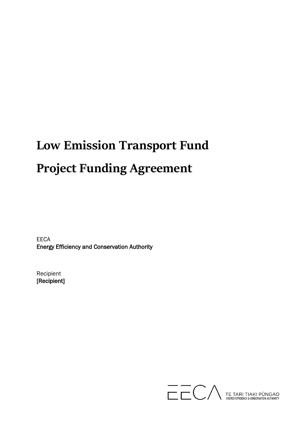# **Low Emission Transport Fund Project Funding Agreement**

EECA Energy Efficiency and Conservation Authority

Recipient [Recipient]

TE TARI TIAKI PŪNGAO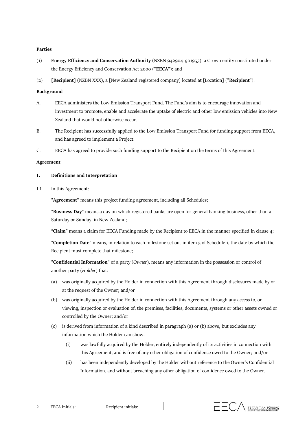#### **Parties**

- (1) **Energy Efficiency and Conservation Authority** (NZBN 9429041901953), a Crown entity constituted under the Energy Efficiency and Conservation Act 2000 ("**EECA**"); and
- (2) **[Recipient]** (NZBN XXX), a [New Zealand registered company] located at [Location] ("**Recipient**").

#### **Background**

- A. EECA administers the Low Emission Transport Fund. The Fund's aim is to encourage innovation and investment to promote, enable and accelerate the uptake of electric and other low emission vehicles into New Zealand that would not otherwise occur.
- B. The Recipient has successfully applied to the Low Emission Transport Fund for funding support from EECA, and has agreed to implement a Project.
- C. EECA has agreed to provide such funding support to the Recipient on the terms of this Agreement.

#### **Agreement**

#### **1. Definitions and Interpretation**

1.1 In this Agreement:

"**Agreement**" means this project funding agreement, including all Schedules;

"**Business Day**" means a day on which registered banks are open for general banking business, other than a Saturday or Sunday, in New Zealand;

"**Claim**" means a claim for EECA Funding made by the Recipient to EECA in the manner specified in clause 4;

"**Completion Date**" means, in relation to each milestone set out in item 5 of Schedule 1, the date by which the Recipient must complete that milestone;

"**Confidential Information**" of a party (*Owner*), means any information in the possession or control of another party (*Holder*) that:

- (a) was originally acquired by the Holder in connection with this Agreement through disclosures made by or at the request of the Owner; and/or
- (b) was originally acquired by the Holder in connection with this Agreement through any access to, or viewing, inspection or evaluation of, the premises, facilities, documents, systems or other assets owned or controlled by the Owner; and/or
- (c) is derived from information of a kind described in paragraph (a) or (b) above, but excludes any information which the Holder can show:
	- (i) was lawfully acquired by the Holder, entirely independently of its activities in connection with this Agreement, and is free of any other obligation of confidence owed to the Owner; and/or
	- (ii) has been independently developed by the Holder without reference to the Owner's Confidential Information, and without breaching any other obligation of confidence owed to the Owner.

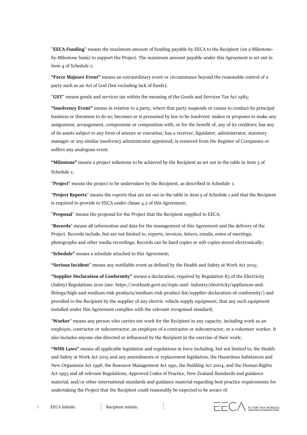"**EECA Funding**" means the maximum amount of funding payable by EECA to the Recipient (on a Milestoneby-Milestone basis) to support the Project. The maximum amount payable under this Agreement is set out in item 4 of Schedule 1;

**"Force Majeure Event"** means an extraordinary event or circumstance beyond the reasonable control of a party such as an Act of God (but excluding lack of funds);

"**GST**" means goods and services tax within the meaning of the Goods and Services Tax Act 1985;

**"Insolvency Event"** means in relation to a party, where that party suspends or ceases to conduct its principal business or threatens to do so; becomes or is presumed by law to be insolvent; makes or proposes to make any assignment, arrangement, compromise or composition with, or for the benefit of, any of its creditors; has any of its assets subject to any form of seizure or execution; has a receiver, liquidator, administrator, statutory manager or any similar insolvency administrator appointed; is removed from the Register of Companies or suffers any analogous event.

**"Milestone"** means a project milestone to be achieved by the Recipient as set out in the table in item 5 of Schedule 1;

"**Project**" means the project to be undertaken by the Recipient, as described in Schedule 1;

"**Project Reports**" means the reports that are set out in the table in item 5 of Schedule 1 and that the Recipient is required to provide to EECA under clause 4.2 of this Agreement;

"**Proposal**" means the proposal for the Project that the Recipient supplied to EECA;

"**Records**" means all information and data for the management of this Agreement and the delivery of the Project. Records include, but are not limited to, reports, invoices, letters, emails, notes of meetings, photographs and other media recordings. Records can be hard copies or soft copies stored electronically;

"**Schedule"** means a schedule attached to this Agreement;

**"Serious Incident**" means any notifiable event as defined by the Health and Safety at Work Act 2015;

**"Supplier Declaration of Conformity"** means a declaration, required by Regulation 83 of the Electricity (Safety) Regulations 2010 (see: [https://worksafe.govt.nz/topic-and-](https://worksafe.govt.nz/topic-and-industry/electricity/appliances-and-fittings/high-and-medium-risk-products/medium-risk-product-list/supplier-declaration-of-conformity/) [industry/electricity/appliances-and](https://worksafe.govt.nz/topic-and-industry/electricity/appliances-and-fittings/high-and-medium-risk-products/medium-risk-product-list/supplier-declaration-of-conformity/)[fittings/high-and-medium-risk-products/medium-risk-product-list/supplier-declaration-of-conformity/\)](https://worksafe.govt.nz/topic-and-industry/electricity/appliances-and-fittings/high-and-medium-risk-products/medium-risk-product-list/supplier-declaration-of-conformity/) and provided to the Recipient by the supplier of any electric vehicle supply equipment, that any such equipment installed under this Agreement complies with the relevant recognised standard;

"**Worker**" means any person who carries out work for the Recipient in any capacity, including work as an employee, contractor or subcontractor, an employee of a contractor or subcontractor, or a volunteer worker. It also includes anyone else directed or influenced by the Recipient in the exercise of their work;

**"WHS Laws"** means all applicable legislation and regulations in force including, but not limited to, the Health and Safety at Work Act 2015 and any amendments or replacement legislation, the Hazardous Substances and New Organisms Act 1996, the Resource Management Act 1991, the Building Act 2004, and the Human Rights Act 1993 and all relevant Regulations, Approved Codes of Practice, New Zealand Standards and guidance material, and/or other international standards and guidance material regarding best practice requirements for undertaking the Project that the Recipient could reasonably be expected to be aware of.

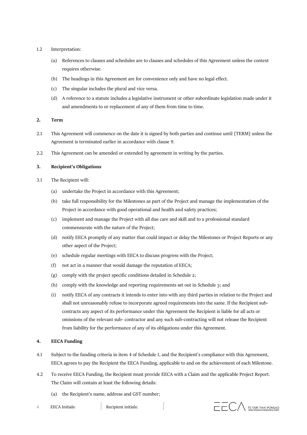## 1.2 Interpretation:

- (a) References to clauses and schedules are to clauses and schedules of this Agreement unless the context requires otherwise.
- (b) The headings in this Agreement are for convenience only and have no legal effect.
- (c) The singular includes the plural and vice versa.
- (d) A reference to a statute includes a legislative instrument or other subordinate legislation made under it and amendments to or replacement of any of them from time to time.

### **2. Term**

- 2.1 This Agreement will commence on the date it is signed by both parties and continue until [TERM] unless the Agreement is terminated earlier in accordance with clause 9.
- 2.2 This Agreement can be amended or extended by agreement in writing by the parties.

## **3. Recipient's Obligations**

- 3.1 The Recipient will:
	- (a) undertake the Project in accordance with this Agreement;
	- (b) take full responsibility for the Milestones as part of the Project and manage the implementation of the Project in accordance with good operational and health and safety practices;
	- (c) implement and manage the Project with all due care and skill and to a professional standard commensurate with the nature of the Project;
	- (d) notify EECA promptly of any matter that could impact or delay the Milestones or Project Reports or any other aspect of the Project;
	- (e) schedule regular meetings with EECA to discuss progress with the Project;
	- (f) not act in a manner that would damage the reputation of EECA;
	- (g) comply with the project specific conditions detailed in Schedule 2;
	- (h) comply with the knowledge and reporting requirements set out in Schedule 3; and
	- (i) notify EECA of any contracts it intends to enter into with any third parties in relation to the Project and shall not unreasonably refuse to incorporate agreed requirements into the same. If the Recipient subcontracts any aspect of its performance under this Agreement the Recipient is liable for all acts or omissions of the relevant sub- contractor and any such sub-contracting will not release the Recipient from liability for the performance of any of its obligations under this Agreement.

# **4. EECA Funding**

- 4.1 Subject to the funding criteria in item 4 of Schedule 1, and the Recipient's compliance with this Agreement, EECA agrees to pay the Recipient the EECA Funding, applicable to and on the achievement of each Milestone.
- 4.2 To receive EECA Funding, the Recipient must provide EECA with a Claim and the applicable Project Report. The Claim will contain at least the following details:
	- (a) the Recipient's name, address and GST number;



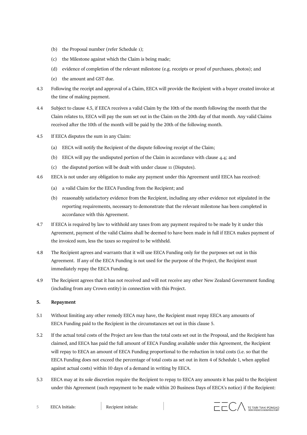- (b) the Proposal number (refer Schedule 1);
- (c) the Milestone against which the Claim is being made;
- (d) evidence of completion of the relevant milestone (e.g. receipts or proof of purchases, photos); and
- (e) the amount and GST due.
- 4.3 Following the receipt and approval of a Claim, EECA will provide the Recipient with a buyer created invoice at the time of making payment.
- <span id="page-4-0"></span>4.4 Subject to clause 4.5, if EECA receives a valid Claim by the 10th of the month following the month that the Claim relates to, EECA will pay the sum set out in the Claim on the 20th day of that month. Any valid Claims received after the 10th of the month will be paid by the 20th of the following month.
- 4.5 If EECA disputes the sum in any Claim:
	- (a) EECA will notify the Recipient of the dispute following receipt of the Claim;
	- (b) EECA will pay the undisputed portion of the Claim in accordance with claus[e 4.4;](#page-4-0) and
	- (c) the disputed portion will be dealt with under clause 11 (Disputes).
- 4.6 EECA is not under any obligation to make any payment under this Agreement until EECA has received:
	- (a) a valid Claim for the EECA Funding from the Recipient; and
	- (b) reasonably satisfactory evidence from the Recipient, including any other evidence not stipulated in the reporting requirements, necessary to demonstrate that the relevant milestone has been completed in accordance with this Agreement.
- 4.7 If EECA is required by law to withhold any taxes from any payment required to be made by it under this Agreement, payment of the valid Claims shall be deemed to have been made in full if EECA makes payment of the invoiced sum, less the taxes so required to be withheld.
- 4.8 The Recipient agrees and warrants that it will use EECA Funding only for the purposes set out in this Agreement. If any of the EECA Funding is not used for the purpose of the Project, the Recipient must immediately repay the EECA Funding.
- 4.9 The Recipient agrees that it has not received and will not receive any other New Zealand Government funding (including from any Crown entity) in connection with this Project.

### **5. Repayment**

- 5.1 Without limiting any other remedy EECA may have, the Recipient must repay EECA any amounts of EECA Funding paid to the Recipient in the circumstances set out in this clause 5.
- 5.2 If the actual total costs of the Project are less than the total costs set out in the Proposal, and the Recipient has claimed, and EECA has paid the full amount of EECA Funding available under this Agreement, the Recipient will repay to EECA an amount of EECA Funding proportional to the reduction in total costs (i.e. so that the EECA Funding does not exceed the percentage of total costs as set out in item 4 of Schedule 1, when applied against actual costs) within 10 days of a demand in writing by EECA.
- 5.3 EECA may at its sole discretion require the Recipient to repay to EECA any amounts it has paid to the Recipient under this Agreement (such repayment to be made within 20 Business Days of EECA's notice) if the Recipient:

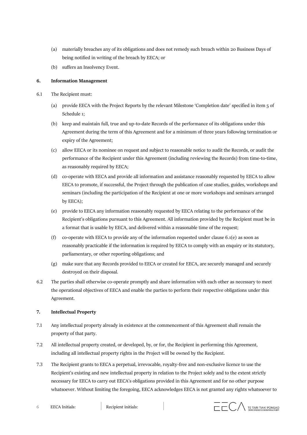- (a) materially breaches any of its obligations and does not remedy such breach within 20 Business Days of being notified in writing of the breach by EECA; or
- (b) suffers an Insolvency Event.

## **6. Information Management**

- 6.1 The Recipient must:
	- (a) provide EECA with the Project Reports by the relevant Milestone 'Completion date' specified in item 5 of Schedule 1;
	- (b) keep and maintain full, true and up-to-date Records of the performance of its obligations under this Agreement during the term of this Agreement and for a minimum of three years following termination or expiry of the Agreement;
	- (c) allow EECA or its nominee on request and subject to reasonable notice to audit the Records, or audit the performance of the Recipient under this Agreement (including reviewing the Records) from time-to-time, as reasonably required by EECA;
	- (d) co-operate with EECA and provide all information and assistance reasonably requested by EECA to allow EECA to promote, if successful, the Project through the publication of case studies, guides, workshops and seminars (including the participation of the Recipient at one or more workshops and seminars arranged by EECA);
	- (e) provide to EECA any information reasonably requested by EECA relating to the performance of the Recipient's obligations pursuant to this Agreement. All information provided by the Recipient must be in a format that is usable by EECA, and delivered within a reasonable time of the request;
	- (f) co-operate with EECA to provide any of the information requested under clause 6.1(e) as soon as reasonably practicable if the information is required by EECA to comply with an enquiry or its statutory, parliamentary, or other reporting obligations; and
	- (g) make sure that any Records provided to EECA or created for EECA, are securely managed and securely destroyed on their disposal.
- 6.2 The parties shall otherwise co-operate promptly and share information with each other as necessary to meet the operational objectives of EECA and enable the parties to perform their respective obligations under this Agreement.

# **7. Intellectual Property**

- 7.1 Any intellectual property already in existence at the commencement of this Agreement shall remain the property of that party.
- 7.2 All intellectual property created, or developed, by, or for, the Recipient in performing this Agreement, including all intellectual property rights in the Project will be owned by the Recipient.
- 7.3 The Recipient grants to EECA a perpetual, irrevocable, royalty-free and non-exclusive licence to use the Recipient's existing and new intellectual property in relation to the Project solely and to the extent strictly necessary for EECA to carry out EECA's obligations provided in this Agreement and for no other purpose whatsoever. Without limiting the foregoing, EECA acknowledges EECA is not granted any rights whatsoever to
- 6 EECA Initials: Recipient initials:

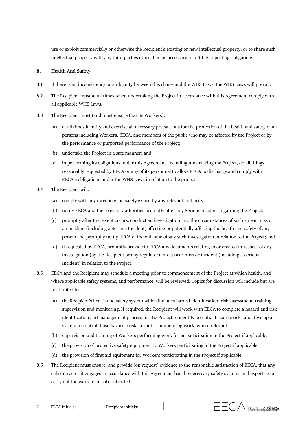use or exploit commercially or otherwise the Recipient's existing or new intellectual property, or to share such intellectual property with any third parties other than as necessary to fulfil its reporting obligations.

# **8. Health And Safety**

- 8.1 If there is an inconsistency or ambiguity between this clause and the WHS Laws, the WHS Laws will prevail.
- 8.2 The Recipient must at all times when undertaking the Project in accordance with this Agreement comply with all applicable WHS Laws.
- 8.3 The Recipient must (and must ensure that its Workers):
	- (a) at all times identify and exercise all necessary precautions for the protection of the health and safety of all persons including Workers, EECA, and members of the public who may be affected by the Project or by the performance or purported performance of the Project;
	- (b) undertake the Project in a safe manner; and
	- (c) in performing its obligations under this Agreement, including undertaking the Project, do all things reasonably requested by EECA or any of its personnel to allow EECA to discharge and comply with EECA's obligations under the WHS Laws in relation to the project.
- 8.4 The Recipient will:
	- (a) comply with any directions on safety issued by any relevant authority;
	- (b) notify EECA and the relevant authorities promptly after any Serious Incident regarding the Project;
	- (c) promptly after that event occurs, conduct an investigation into the circumstances of such a near miss or an incident (including a Serious Incident) affecting or potentially affecting the health and safety of any person and promptly notify EECA of the outcome of any such investigation in relation to the Project; and
	- (d) if requested by EECA, promptly provide to EECA any documents relating to or created in respect of any investigation (by the Recipient or any regulator) into a near miss or incident (including a Serious Incident) in relation to the Project.
- 8.5 EECA and the Recipient may schedule a meeting prior to commencement of the Project at which health, and where applicable safety systems, and performance, will be reviewed. Topics for discussion will include but are not limited to:
	- (a) the Recipient's health and safety system which includes hazard identification, risk assessment, training, supervision and monitoring. If required, the Recipient will work with EECA to complete a hazard and risk identification and management process for the Project to identify potential hazards/risks and develop a system to control those hazards/risks prior to commencing work, where relevant;
	- (b) supervision and training of Workers performing work for or participating in the Project if applicable;
	- (c) the provision of protective safety equipment to Workers participating in the Project if applicable;
	- (d) the provision of first aid equipment for Workers participating in the Project if applicable.
- 8.6 The Recipient must ensure, and provide (on request) evidence to the reasonable satisfaction of EECA, that any subcontractor it engages in accordance with this Agreement has the necessary safety systems and expertise to carry out the work to be subcontracted.

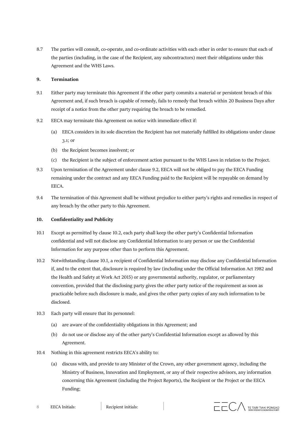8.7 The parties will consult, co-operate, and co-ordinate activities with each other in order to ensure that each of the parties (including, in the case of the Recipient, any subcontractors) meet their obligations under this Agreement and the WHS Laws.

#### **9. Termination**

- 9.1 Either party may terminate this Agreement if the other party commits a material or persistent breach of this Agreement and, if such breach is capable of remedy, fails to remedy that breach within 20 Business Days after receipt of a notice from the other party requiring the breach to be remedied.
- 9.2 EECA may terminate this Agreement on notice with immediate effect if:
	- (a) EECA considers in its sole discretion the Recipient has not materially fulfilled its obligations under clause 3.1; or
	- (b) the Recipient becomes insolvent; or
	- (c) the Recipient is the subject of enforcement action pursuant to the WHS Laws in relation to the Project.
- 9.3 Upon termination of the Agreement under clause 9.2, EECA will not be obliged to pay the EECA Funding remaining under the contract and any EECA Funding paid to the Recipient will be repayable on demand by EECA.
- 9.4 The termination of this Agreement shall be without prejudice to either party's rights and remedies in respect of any breach by the other party to this Agreement.

## **10. Confidentiality and Publicity**

- 10.1 Except as permitted by clause 10.2, each party shall keep the other party's Confidential Information confidential and will not disclose any Confidential Information to any person or use the Confidential Information for any purpose other than to perform this Agreement.
- 10.2 Notwithstanding clause 10.1, a recipient of Confidential Information may disclose any Confidential Information if, and to the extent that, disclosure is required by law (including under the Official Information Act 1982 and the Health and Safety at Work Act 2015) or any governmental authority, regulator, or parliamentary convention, provided that the disclosing party gives the other party notice of the requirement as soon as practicable before such disclosure is made, and gives the other party copies of any such information to be disclosed.
- 10.3 Each party will ensure that its personnel:
	- (a) are aware of the confidentiality obligations in this Agreement; and
	- (b) do not use or disclose any of the other party's Confidential Information except as allowed by this Agreement.
- 10.4 Nothing in this agreement restricts EECA's ability to:
	- (a) discuss with, and provide to any Minister of the Crown, any other government agency, including the Ministry of Business, Innovation and Employment, or any of their respective advisors, any information concerning this Agreement (including the Project Reports), the Recipient or the Project or the EECA Funding;

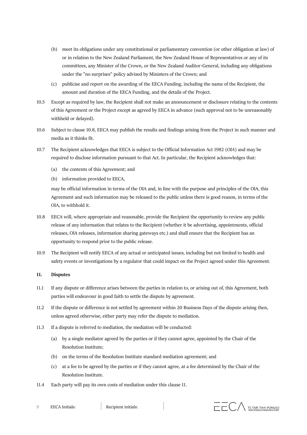- (b) meet its obligations under any constitutional or parliamentary convention (or other obligation at law) of or in relation to the New Zealand Parliament, the New Zealand House of Representatives or any of its committees, any Minister of the Crown, or the New Zealand Auditor-General, including any obligations under the "no surprises" policy advised by Ministers of the Crown; and
- (c) publicise and report on the awarding of the EECA Funding, including the name of the Recipient, the amount and duration of the EECA Funding, and the details of the Project.
- 10.5 Except as required by law, the Recipient shall not make an announcement or disclosure relating to the contents of this Agreement or the Project except as agreed by EECA in advance (such approval not to be unreasonably withheld or delayed).
- 10.6 Subject to clause 10.8, EECA may publish the results and findings arising from the Project in such manner and media as it thinks fit.
- 10.7 The Recipient acknowledges that EECA is subject to the Official Information Act 1982 (*OIA*) and may be required to disclose information pursuant to that Act. In particular, the Recipient acknowledges that:
	- (a) the contents of this Agreement; and
	- (b) information provided to EECA,

may be official information in terms of the OIA and, in line with the purpose and principles of the OIA, this Agreement and such information may be released to the public unless there is good reason, in terms of the OIA, to withhold it.

- 10.8 EECA will, where appropriate and reasonable, provide the Recipient the opportunity to review any public release of any information that relates to the Recipient (whether it be advertising, appointments, official releases, OIA releases, information sharing gateways etc.) and shall ensure that the Recipient has an opportunity to respond prior to the public release.
- 10.9 The Recipient will notify EECA of any actual or anticipated issues, including but not limited to health and safety events or investigations by a regulator that could impact on the Project agreed under this Agreement.

## <span id="page-8-0"></span>**11. Disputes**

- 11.1 If any dispute or difference arises between the parties in relation to, or arising out of, this Agreement, both parties will endeavour in good faith to settle the dispute by agreement.
- 11.2 If the dispute or difference is not settled by agreement within 20 Business Days of the dispute arising then, unless agreed otherwise, either party may refer the dispute to mediation.
- 11.3 If a dispute is referred to mediation, the mediation will be conducted:
	- (a) by a single mediator agreed by the parties or if they cannot agree, appointed by the Chair of the Resolution Institute;
	- (b) on the terms of the Resolution Institute standard mediation agreement; and
	- (c) at a fee to be agreed by the parties or if they cannot agree, at a fee determined by the Chair of the Resolution Institute.
- 11.4 Each party will pay its own costs of mediation under this clause [11.](#page-8-0)

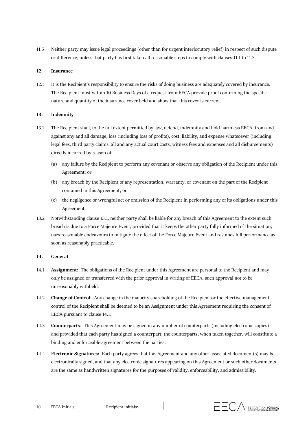11.5 Neither party may issue legal proceedings (other than for urgent interlocutory relief) in respect of such dispute or difference, unless that party has first taken all reasonable steps to comply with clauses 11.1 to 11.3.

## **12. Insurance**

12.1 It is the Recipient's responsibility to ensure the risks of doing business are adequately covered by insurance. The Recipient must within 10 Business Days of a request from EECA provide proof confirming the specific nature and quantity of the insurance cover held and show that this cover is current.

## **13. Indemnity**

- 13.1 The Recipient shall, to the full extent permitted by law, defend, indemnify and hold harmless EECA, from and against any and all damage, loss (including loss of profits), cost, liability, and expense whatsoever (including legal fees, third party claims, all and any actual court costs, witness fees and expenses and all disbursements) directly incurred by reason of:
	- (a) any failure by the Recipient to perform any covenant or observe any obligation of the Recipient under this Agreement; or
	- (b) any breach by the Recipient of any representation, warranty, or covenant on the part of the Recipient contained in this Agreement; or
	- (c) the negligence or wrongful act or omission of the Recipient in performing any of its obligations under this Agreement.
- 13.2 Notwithstanding clause 13.1, neither party shall be liable for any breach of this Agreement to the extent such breach is due to a Force Majeure Event, provided that it keeps the other party fully informed of the situation, uses reasonable endeavours to mitigate the effect of the Force Majeure Event and resumes full performance as soon as reasonably practicable.

### **14. General**

- 14.1 **Assignment**: The obligations of the Recipient under this Agreement are personal to the Recipient and may only be assigned or transferred with the prior approval in writing of EECA, such approval not to be unreasonably withheld.
- 14.2 **Change of Control**: Any change in the majority shareholding of the Recipient or the effective management control of the Recipient shall be deemed to be an Assignment under this Agreement requiring the consent of EECA pursuant to clause 14.1.
- 14.3 **Counterparts**: This Agreement may be signed in any number of counterparts (including electronic copies) and provided that each party has signed a counterpart, the counterparts, when taken together, will constitute a binding and enforceable agreement between the parties.
- 14.4 **Electronic Signatures:** Each party agrees that this Agreement and any other associated document(s) may be electronically signed, and that any electronic signatures appearing on this Agreement or such other documents are the same as handwritten signatures for the purposes of validity, enforceability, and admissibility.

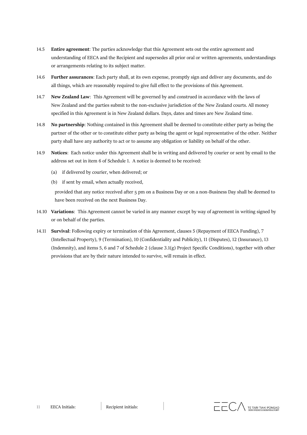- 14.5 **Entire agreement**: The parties acknowledge that this Agreement sets out the entire agreement and understanding of EECA and the Recipient and supersedes all prior oral or written agreements, understandings or arrangements relating to its subject matter.
- 14.6 **Further assurances**: Each party shall, at its own expense, promptly sign and deliver any documents, and do all things, which are reasonably required to give full effect to the provisions of this Agreement.
- 14.7 **New Zealand Law**: This Agreement will be governed by and construed in accordance with the laws of New Zealand and the parties submit to the non-exclusive jurisdiction of the New Zealand courts. All money specified in this Agreement is in New Zealand dollars. Days, dates and times are New Zealand time.
- 14.8 **No partnership**: Nothing contained in this Agreement shall be deemed to constitute either party as being the partner of the other or to constitute either party as being the agent or legal representative of the other. Neither party shall have any authority to act or to assume any obligation or liability on behalf of the other.
- 14.9 **Notices**: Each notice under this Agreement shall be in writing and delivered by courier or sent by email to the address set out in item 6 of Schedule 1. A notice is deemed to be received:
	- (a) if delivered by courier, when delivered; or
	- (b) if sent by email, when actually received,

provided that any notice received after 5 pm on a Business Day or on a non-Business Day shall be deemed to have been received on the next Business Day.

- 14.10 **Variations**: This Agreement cannot be varied in any manner except by way of agreement in writing signed by or on behalf of the parties.
- 14.11 **Survival**: Following expiry or termination of this Agreement, clauses 5 (Repayment of EECA Funding), 7 (Intellectual Property), 9 (Termination), 10 (Confidentiality and Publicity), 11 (Disputes), 12 (Insurance), 13 (Indemnity), and items 5, 6 and 7 of Schedule 2 (clause 3.1(g) Project Specific Conditions), together with other provisions that are by their nature intended to survive, will remain in effect.

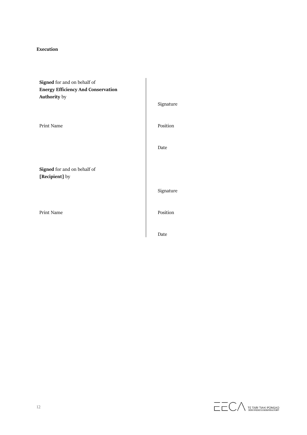## **Execution**

**Signed** for and on behalf of **Energy Efficiency And Conservation Authority** by

**Signed** for and on behalf of **[Recipient]** by

Signature Print Name Position Date Signature Print Name Position Date

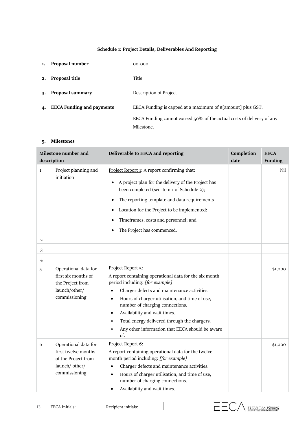# **Schedule 1: Project Details, Deliverables And Reporting**

| 1. | Proposal number                  | $00 - 000$                                                                             |
|----|----------------------------------|----------------------------------------------------------------------------------------|
| 2. | Proposal title                   | Title                                                                                  |
| 3. | Proposal summary                 | Description of Project                                                                 |
| 4. | <b>EECA Funding and payments</b> | EECA Funding is capped at a maximum of $\frac{1}{2}$ [amount] plus GST.                |
|    |                                  | EECA Funding cannot exceed $50\%$ of the actual costs of delivery of any<br>Milestone. |

# **5. Milestones**

| Milestone number and<br>description |                                                                                                       | Deliverable to EECA and reporting                                                                                                                                                                                                                                                                                                                                                                                                                             | Completion<br>date | <b>EECA</b><br>Funding |
|-------------------------------------|-------------------------------------------------------------------------------------------------------|---------------------------------------------------------------------------------------------------------------------------------------------------------------------------------------------------------------------------------------------------------------------------------------------------------------------------------------------------------------------------------------------------------------------------------------------------------------|--------------------|------------------------|
| $\mathbf{1}$                        | Project planning and<br>initiation                                                                    | Project Report 1: A report confirming that:<br>A project plan for the delivery of the Project has<br>$\bullet$<br>been completed (see item 1 of Schedule 2);<br>The reporting template and data requirements<br>$\bullet$<br>Location for the Project to be implemented;<br>6<br>Timeframes, costs and personnel; and<br>$\bullet$<br>The Project has commenced.<br>$\bullet$                                                                                 |                    | Nil                    |
| 2                                   |                                                                                                       |                                                                                                                                                                                                                                                                                                                                                                                                                                                               |                    |                        |
| 3                                   |                                                                                                       |                                                                                                                                                                                                                                                                                                                                                                                                                                                               |                    |                        |
| 4                                   |                                                                                                       |                                                                                                                                                                                                                                                                                                                                                                                                                                                               |                    |                        |
| 5                                   | Operational data for<br>first six months of<br>the Project from<br>launch/other/<br>commissioning     | Project Report 5:<br>A report containing operational data for the six month<br>period including: [for example]<br>Charger defects and maintenance activities.<br>$\bullet$<br>Hours of charger utilisation, and time of use,<br>$\bullet$<br>number of charging connections.<br>Availability and wait times.<br>$\bullet$<br>Total energy delivered through the chargers.<br>$\bullet$<br>Any other information that EECA should be aware<br>$\bullet$<br>of. |                    | \$1,000                |
| 6                                   | Operational data for<br>first twelve months<br>of the Project from<br>launch/ other/<br>commissioning | Project Report 6:<br>A report containing operational data for the twelve<br>month period including: [for example]<br>Charger defects and maintenance activities.<br>$\bullet$<br>Hours of charger utilisation, and time of use,<br>$\bullet$<br>number of charging connections.<br>Availability and wait times.<br>$\bullet$                                                                                                                                  |                    | \$1,000                |

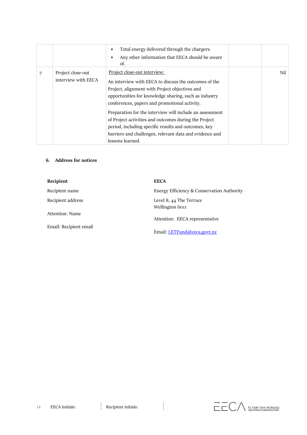|                                          | Total energy delivered through the chargers.<br>$\bullet$<br>Any other information that EECA should be aware<br>٠<br>of.                                                                                                                                                                                                                                                                                                                                                                                      |     |
|------------------------------------------|---------------------------------------------------------------------------------------------------------------------------------------------------------------------------------------------------------------------------------------------------------------------------------------------------------------------------------------------------------------------------------------------------------------------------------------------------------------------------------------------------------------|-----|
| Project close-out<br>interview with EECA | Project close-out interview:<br>An interview with EECA to discuss the outcomes of the<br>Project, alignment with Project objectives and<br>opportunities for knowledge sharing, such as industry<br>conferences, papers and promotional activity.<br>Preparation for the interview will include an assessment<br>of Project activities and outcomes during the Project<br>period, including specific results and outcomes, key<br>barriers and challenges, relevant data and evidence and<br>lessons learned. | Nil |

# **6. Address for notices**

| Recipient              | <b>EECA</b>                                |
|------------------------|--------------------------------------------|
| Recipient name         | Energy Efficiency & Conservation Authority |
| Recipient address      | Level 8, 44 The Terrace<br>Wellington 6011 |
| Attention: Name        | Attention: EECA representative             |
| Email: Recipient email | Email: LETFund@eeca.govt.nz                |

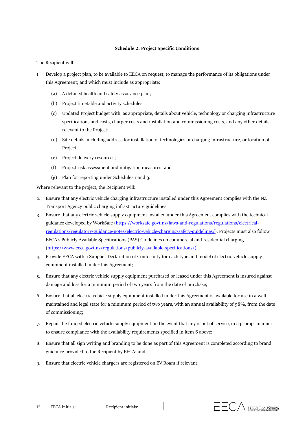#### **Schedule 2: Project Specific Conditions**

The Recipient will:

- 1. Develop a project plan, to be available to EECA on request, to manage the performance of its obligations under this Agreement; and which must include as appropriate:
	- (a) A detailed health and safety assurance plan;
	- (b) Project timetable and activity schedules;
	- (c) Updated Project budget with, as appropriate, details about vehicle, technology or charging infrastructure specifications and costs, charger costs and installation and commissioning costs, and any other details relevant to the Project;
	- (d) Site details, including address for installation of technologies or charging infrastructure, or location of Project;
	- (e) Project delivery resources;
	- (f) Project risk assessment and mitigation measures; and
	- (g) Plan for reporting under Schedules 1 and 3.

Where relevant to the project, the Recipient will:

- 2. Ensure that any electric vehicle charging infrastructure installed under this Agreement complies with the NZ Transport Agency public charging infrastructure guidelines;
- 3. Ensure that any electric vehicle supply equipment installed under this Agreement complies with the technical guidance developed by WorkSafe [\(https://worksafe.govt.nz/laws-and-regulations/regulations/electrical](https://worksafe.govt.nz/laws-and-regulations/regulations/electrical-regulations/regulatory-guidance-notes/electric-vehicle-charging-safety-guidelines/)[regulations/regulatory-guidance-notes/electric-vehicle-charging-safety-guidelines/\)](https://worksafe.govt.nz/laws-and-regulations/regulations/electrical-regulations/regulatory-guidance-notes/electric-vehicle-charging-safety-guidelines/). Projects must also follow EECA's Publicly Available Specifications (PAS) Guidelines on commercial and residential charging (https://www.eeca.govt.nz/regulations/publicly-available-specifications/);
- 4. Provide EECA with a Supplier Declaration of Conformity for each type and model of electric vehicle supply equipment installed under this Agreement;
- 5. Ensure that any electric vehicle supply equipment purchased or leased under this Agreement is insured against damage and loss for a minimum period of two years from the date of purchase;
- 6. Ensure that all electric vehicle supply equipment installed under this Agreement is available for use in a well maintained and legal state for a minimum period of two years, with an annual availability of 98%, from the date of commissioning;
- 7. Repair the funded electric vehicle supply equipment, in the event that any is out of service, in a prompt manner to ensure compliance with the availability requirements specified in item 6 above;
- 8. Ensure that all sign writing and branding to be done as part of this Agreement is completed according to brand guidance provided to the Recipient by EECA; and
- 9. Ensure that electric vehicle chargers are registered on EV Roam if relevant.

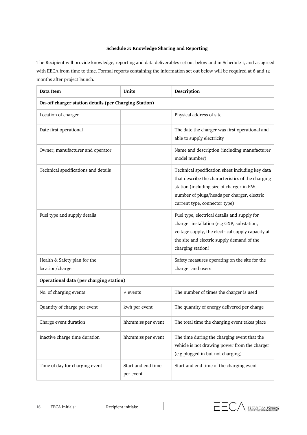# **Schedule 3: Knowledge Sharing and Reporting**

The Recipient will provide knowledge, reporting and data deliverables set out below and in Schedule 1, and as agreed with EECA from time to time. Formal reports containing the information set out below will be required at 6 and 12 months after project launch.

| Data Item                                             | Units                           | Description                                                                                                                                                                                                                        |  |
|-------------------------------------------------------|---------------------------------|------------------------------------------------------------------------------------------------------------------------------------------------------------------------------------------------------------------------------------|--|
| On-off charger station details (per Charging Station) |                                 |                                                                                                                                                                                                                                    |  |
| Location of charger                                   |                                 | Physical address of site                                                                                                                                                                                                           |  |
| Date first operational                                |                                 | The date the charger was first operational and<br>able to supply electricity                                                                                                                                                       |  |
| Owner, manufacturer and operator                      |                                 | Name and description (including manufacturer<br>model number)                                                                                                                                                                      |  |
| Technical specifications and details                  |                                 | Technical specification sheet including key data<br>that describe the characteristics of the charging<br>station (including size of charger in KW,<br>number of plugs/heads per charger, electric<br>current type, connector type) |  |
| Fuel type and supply details                          |                                 | Fuel type, electrical details and supply for<br>charger installation (e.g GXP, substation,<br>voltage supply, the electrical supply capacity at<br>the site and electric supply demand of the<br>charging station)                 |  |
| Health & Safety plan for the<br>location/charger      |                                 | Safety measures operating on the site for the<br>charger and users                                                                                                                                                                 |  |
| Operational data (per charging station)               |                                 |                                                                                                                                                                                                                                    |  |
| No. of charging events                                | # events                        | The number of times the charger is used                                                                                                                                                                                            |  |
| Quantity of charge per event                          | kwh per event                   | The quantity of energy delivered per charge                                                                                                                                                                                        |  |
| Charge event duration                                 | hh:mm:ss per event              | The total time the charging event takes place                                                                                                                                                                                      |  |
| Inactive charge time duration                         | hh:mm:ss per event              | The time during the charging event that the<br>vehicle is not drawing power from the charger<br>(e.g plugged in but not charging)                                                                                                  |  |
| Time of day for charging event                        | Start and end time<br>per event | Start and end time of the charging event                                                                                                                                                                                           |  |